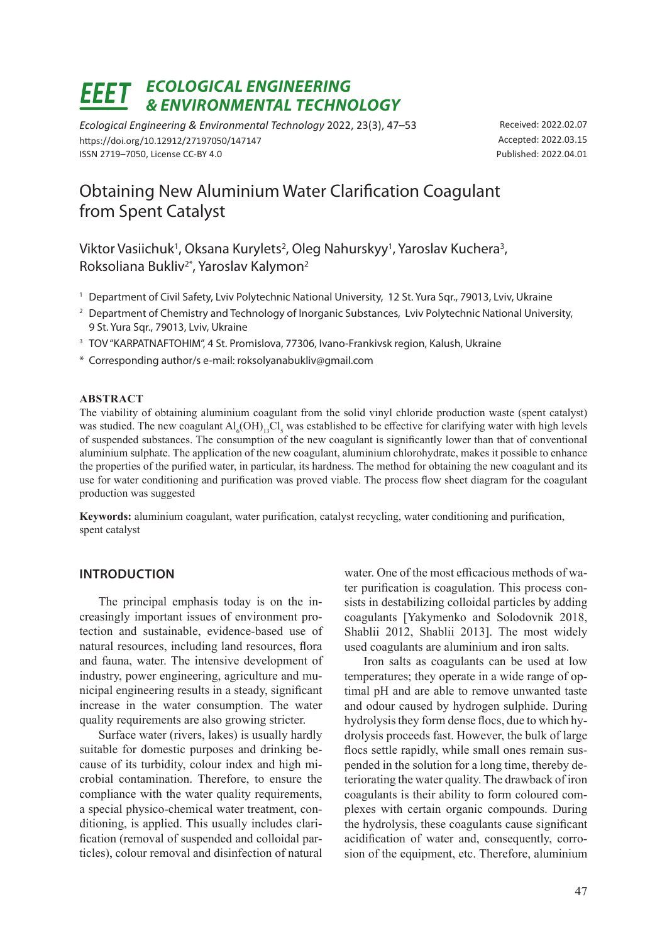#### *ECOLOGICAL ENGINEERING*  FFFT *& ENVIRONMENTAL TECHNOLOGY*

*Ecological Engineering & Environmental Technology* 2022, 23(3), 47–53 https://doi.org/10.12912/27197050/147147 ISSN 2719–7050, License CC-BY 4.0

Received: 2022.02.07 Accepted: 2022.03.15 Published: 2022.04.01

# Obtaining New Aluminium Water Clarification Coagulant from Spent Catalyst

Viktor Vasiichuk<sup>1</sup>, Oksana Kurylets<sup>2</sup>, Oleg Nahurskyy<sup>1</sup>, Yaroslav Kuchera<sup>3</sup>, Roksoliana Bukliv<sup>2\*</sup>, Yaroslav Kalymon<sup>2</sup>

- <sup>1</sup> Department of Civil Safety, Lviv Polytechnic National University, 12 St. Yura Sqr., 79013, Lviv, Ukraine
- <sup>2</sup> Department of Chemistry and Technology of Inorganic Substances, Lyiv Polytechnic National University, 9 St. Yura Sqr., 79013, Lviv, Ukraine
- <sup>3</sup> TOV "KARPATNAFTOHIM", 4 St. Promislova, 77306, Ivano-Frankivsk region, Kalush, Ukraine
- \* Corresponding author/s e-mail: roksolyanabukliv@gmail.com

### **ABSTRACT**

The viability of obtaining aluminium coagulant from the solid vinyl chloride production waste (spent catalyst) was studied. The new coagulant  $Al_6(OH)_{13}Cl_5$  was established to be effective for clarifying water with high levels of suspended substances. The consumption of the new coagulant is significantly lower than that of conventional aluminium sulphate. The application of the new coagulant, aluminium chlorohydrate, makes it possible to enhance the properties of the purified water, in particular, its hardness. The method for obtaining the new coagulant and its use for water conditioning and purification was proved viable. The process flow sheet diagram for the coagulant production was suggested

**Keywords:** aluminium coagulant, water purification, catalyst recycling, water conditioning and purification, spent catalyst

# **INTRODUCTION**

The principal emphasis today is on the increasingly important issues of environment protection and sustainable, evidence-based use of natural resources, including land resources, flora and fauna, water. The intensive development of industry, power engineering, agriculture and municipal engineering results in a steady, significant increase in the water consumption. The water quality requirements are also growing stricter.

Surface water (rivers, lakes) is usually hardly suitable for domestic purposes and drinking because of its turbidity, colour index and high microbial contamination. Therefore, to ensure the compliance with the water quality requirements, a special physico-chemical water treatment, conditioning, is applied. This usually includes clarification (removal of suspended and colloidal particles), colour removal and disinfection of natural water. One of the most efficacious methods of water purification is coagulation. This process consists in destabilizing colloidal particles by adding coagulants [Yakymenko and Solodovnik 2018, Shablii 2012, Shablii 2013]. The most widely used coagulants are aluminium and iron salts.

Iron salts as coagulants can be used at low temperatures; they operate in a wide range of optimal pH and are able to remove unwanted taste and odour caused by hydrogen sulphide. During hydrolysis they form dense flocs, due to which hydrolysis proceeds fast. However, the bulk of large flocs settle rapidly, while small ones remain suspended in the solution for a long time, thereby deteriorating the water quality. The drawback of iron coagulants is their ability to form coloured complexes with certain organic compounds. During the hydrolysis, these coagulants cause significant acidification of water and, consequently, corrosion of the equipment, etc. Therefore, aluminium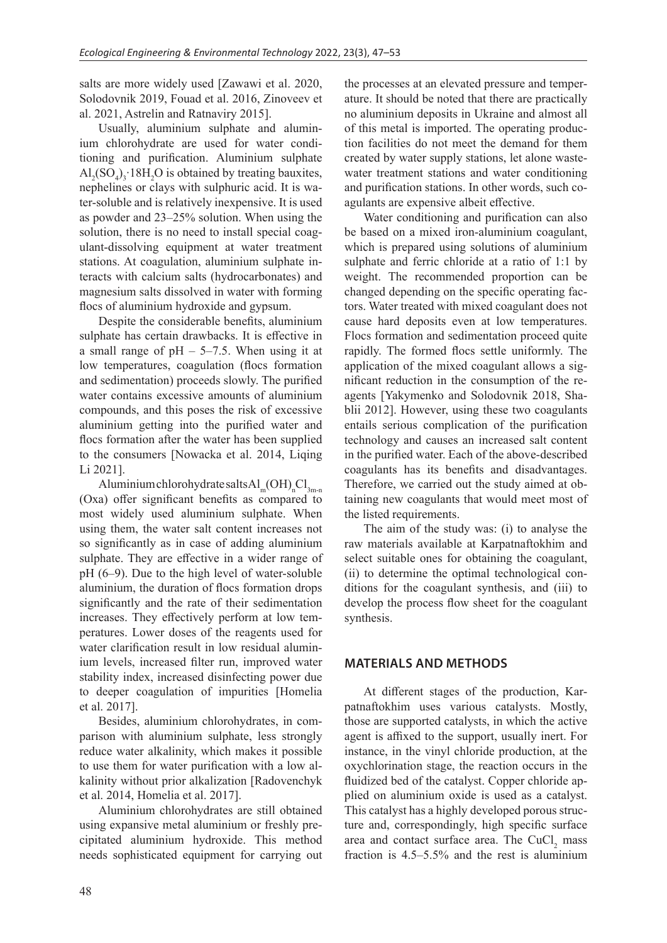salts are more widely used [Zawawi et al. 2020, Solodovnik 2019, Fouad et al. 2016, Zinoveev et al. 2021, Astrelin and Ratnaviry 2015].

Usually, aluminium sulphate and aluminium chlorohydrate are used for water conditioning and purification. Aluminium sulphate  $\text{Al}_2(\text{SO}_4)_3$  18H<sub>2</sub>O is obtained by treating bauxites, nephelines or clays with sulphuric acid. It is water-soluble and is relatively inexpensive. It is used as powder and 23–25% solution. When using the solution, there is no need to install special coagulant-dissolving equipment at water treatment stations. At coagulation, aluminium sulphate interacts with calcium salts (hydrocarbonates) and magnesium salts dissolved in water with forming flocs of aluminium hydroxide and gypsum.

Despite the considerable benefits, aluminium sulphate has certain drawbacks. It is effective in a small range of  $pH - 5-7.5$ . When using it at low temperatures, coagulation (flocs formation and sedimentation) proceeds slowly. The purified water contains excessive amounts of aluminium compounds, and this poses the risk of excessive aluminium getting into the purified water and flocs formation after the water has been supplied to the consumers [Nowacka et al. 2014, Liqing Li 2021].

Aluminium chlorohydrate salts $\text{Al}_{\text{m}}(\text{OH})_{\text{n}}\text{Cl}_{\text{3m-n}}$ (Оха) offer significant benefits as compared to most widely used aluminium sulphate. When using them, the water salt content increases not so significantly as in case of adding aluminium sulphate. They are effective in a wider range of pH (6–9). Due to the high level of water-soluble aluminium, the duration of flocs formation drops significantly and the rate of their sedimentation increases. They effectively perform at low temperatures. Lower doses of the reagents used for water clarification result in low residual aluminium levels, increased filter run, improved water stability index, increased disinfecting power due to deeper coagulation of impurities [Homelia et al. 2017].

Besides, aluminium chlorohydrates, in comparison with aluminium sulphate, less strongly reduce water alkalinity, which makes it possible to use them for water purification with a low alkalinity without prior alkalization [Radovenchyk et al. 2014, Homelia et al. 2017].

Aluminium chlorohydrates are still obtained using expansive metal aluminium or freshly precipitated aluminium hydroxide. This method needs sophisticated equipment for carrying out the processes at an elevated pressure and temperature. It should be noted that there are practically no aluminium deposits in Ukraine and almost all of this metal is imported. The operating production facilities do not meet the demand for them created by water supply stations, let alone wastewater treatment stations and water conditioning and purification stations. In other words, such coagulants are expensive albeit effective.

Water conditioning and purification can also be based on a mixed iron-aluminium coagulant, which is prepared using solutions of aluminium sulphate and ferric chloride at a ratio of 1:1 by weight. The recommended proportion can be changed depending on the specific operating factors. Water treated with mixed coagulant does not cause hard deposits even at low temperatures. Flocs formation and sedimentation proceed quite rapidly. The formed flocs settle uniformly. The application of the mixed coagulant allows a significant reduction in the consumption of the reagents [Yakymenko and Solodovnik 2018, Shablii 2012]. However, using these two coagulants entails serious complication of the purification technology and causes an increased salt content in the purified water. Each of the above-described coagulants has its benefits and disadvantages. Therefore, we carried out the study aimed at obtaining new coagulants that would meet most of the listed requirements.

The aim of the study was: (i) to analyse the raw materials available at Karpatnaftokhim and select suitable ones for obtaining the coagulant, (ii) to determine the optimal technological conditions for the coagulant synthesis, and (iii) to develop the process flow sheet for the coagulant synthesis.

## **MATERIALS AND METHODS**

At different stages of the production, Karpatnaftokhim uses various catalysts. Mostly, those are supported catalysts, in which the active agent is affixed to the support, usually inert. For instance, in the vinyl chloride production, at the oxychlorination stage, the reaction occurs in the fluidized bed of the catalyst. Copper chloride applied on aluminium oxide is used as a catalyst. This catalyst has a highly developed porous structure and, correspondingly, high specific surface area and contact surface area. The  $CuCl<sub>2</sub>$  mass fraction is 4.5–5.5% and the rest is aluminium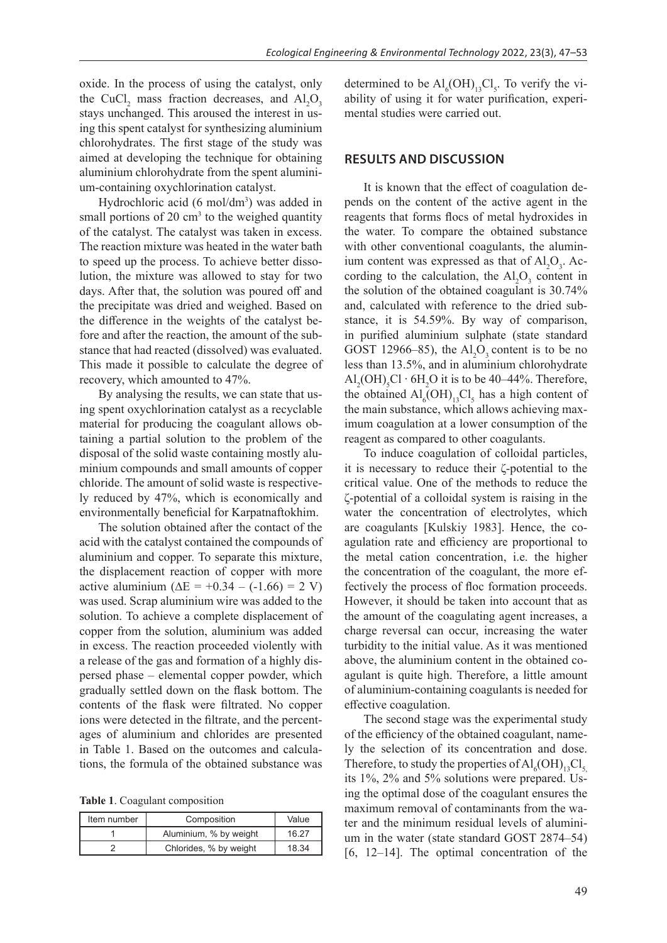oxide. In the process of using the catalyst, only the CuCl<sub>2</sub> mass fraction decreases, and  $AI_2O_3$ stays unchanged. This aroused the interest in using this spent catalyst for synthesizing aluminium chlorohydrates. The first stage of the study was aimed at developing the technique for obtaining aluminium chlorohydrate from the spent aluminium-containing oxychlorination catalyst.

Hydrochloric acid (6 mol/dm<sup>3</sup>) was added in small portions of  $20 \text{ cm}^3$  to the weighed quantity of the catalyst. The catalyst was taken in excess. The reaction mixture was heated in the water bath to speed up the process. To achieve better dissolution, the mixture was allowed to stay for two days. After that, the solution was poured off and the precipitate was dried and weighed. Based on the difference in the weights of the catalyst before and after the reaction, the amount of the substance that had reacted (dissolved) was evaluated. This made it possible to calculate the degree of recovery, which amounted to 47%.

By analysing the results, we can state that using spent oxychlorination catalyst as a recyclable material for producing the coagulant allows obtaining a partial solution to the problem of the disposal of the solid waste containing mostly aluminium compounds and small amounts of copper chloride. The amount of solid waste is respectively reduced by 47%, which is economically and environmentally beneficial for Karpatnaftokhim.

The solution obtained after the contact of the acid with the catalyst contained the compounds of aluminium and copper. To separate this mixture, the displacement reaction of copper with more active aluminium ( $\Delta E = +0.34 - (-1.66) = 2$  V) was used. Scrap aluminium wire was added to the solution. To achieve a complete displacement of copper from the solution, aluminium was added in excess. The reaction proceeded violently with a release of the gas and formation of a highly dispersed phase – elemental copper powder, which gradually settled down on the flask bottom. The contents of the flask were filtrated. No copper ions were detected in the filtrate, and the percentages of aluminium and chlorides are presented in Table 1. Based on the outcomes and calculations, the formula of the obtained substance was

**Table 1**. Coagulant composition

| Item number | Composition            | Value |
|-------------|------------------------|-------|
|             | Aluminium, % by weight | 16.27 |
|             | Chlorides, % by weight | 18.34 |

determined to be  $\text{Al}_{6}(\text{OH})_{13}\text{Cl}_{5}$ . To verify the viability of using it for water purification, experimental studies were carried out.

## **RESULTS AND DISCUSSION**

It is known that the effect of coagulation depends on the content of the active agent in the reagents that forms flocs of metal hydroxides in the water. To compare the obtained substance with other conventional coagulants, the aluminium content was expressed as that of  $Al_2O_3$ . According to the calculation, the  $Al_2O_3$  content in the solution of the obtained coagulant is 30.74% and, calculated with reference to the dried substance, it is 54.59%. By way of comparison, in purified aluminium sulphate (state standard GOST 12966–85), the  $Al_2O_3$  content is to be no less than 13.5%, and in aluminium chlorohydrate  $\text{Al}_2\text{OH}$ <sub>2</sub>Cl ⋅ 6H<sub>2</sub>O it is to be 40–44%. Therefore, the obtained  $\text{Al}_6\text{(OH)}_{13}\text{Cl}_5$  has a high content of the main substance, which allows achieving maximum coagulation at a lower consumption of the reagent as compared to other coagulants.

To induce coagulation of colloidal particles, it is necessary to reduce their ζ-potential to the critical value. One of the methods to reduce the ζ-potential of a colloidal system is raising in the water the concentration of electrolytes, which are coagulants [Kulskiy 1983]. Hence, the coagulation rate and efficiency are proportional to the metal cation concentration, i.e. the higher the concentration of the coagulant, the more effectively the process of floc formation proceeds. However, it should be taken into account that as the amount of the coagulating agent increases, a charge reversal can occur, increasing the water turbidity to the initial value. As it was mentioned above, the aluminium content in the obtained coagulant is quite high. Therefore, a little amount of aluminium-containing coagulants is needed for effective coagulation.

The second stage was the experimental study of the efficiency of the obtained coagulant, namely the selection of its concentration and dose. Therefore, to study the properties of  $\text{Al}_6\text{(OH)}_{13}\text{Cl}_5$ , its 1%, 2% and 5% solutions were prepared. Using the optimal dose of the coagulant ensures the maximum removal of contaminants from the water and the minimum residual levels of aluminium in the water (state standard GOST 2874–54) [6, 12–14]. The optimal concentration of the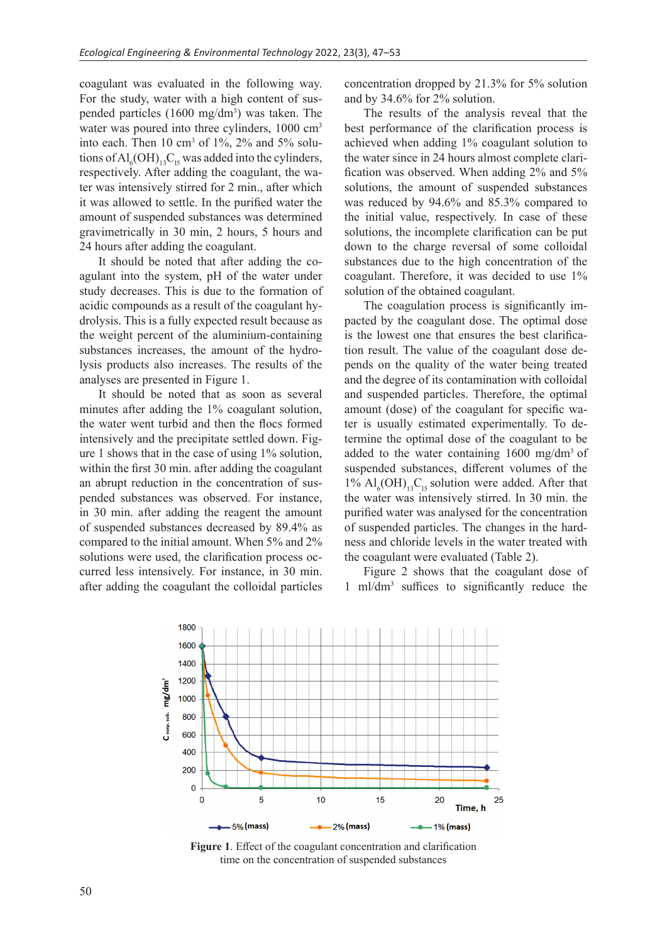coagulant was evaluated in the following way. For the study, water with a high content of suspended particles  $(1600 \text{ mg/dm}^3)$  was taken. The water was poured into three cylinders, 1000 cm<sup>3</sup> into each. Then  $10 \text{ cm}^3$  of  $1\%$ ,  $2\%$  and  $5\%$  solutions of  $\text{Al}_6\text{(OH)}_{13}\text{C}_1$  was added into the cylinders, respectively. After adding the coagulant, the water was intensively stirred for 2 min., after which it was allowed to settle. In the purified water the amount of suspended substances was determined gravimetrically in 30 min, 2 hours, 5 hours and 24 hours after adding the coagulant.

It should be noted that after adding the coagulant into the system, pH of the water under study decreases. This is due to the formation of acidic compounds as a result of the coagulant hydrolysis. This is a fully expected result because as the weight percent of the aluminium-containing substances increases, the amount of the hydrolysis products also increases. The results of the analyses are presented in Figure 1.

It should be noted that as soon as several minutes after adding the 1% coagulant solution, the water went turbid and then the flocs formed intensively and the precipitate settled down. Figure 1 shows that in the case of using 1% solution, within the first 30 min. after adding the coagulant an abrupt reduction in the concentration of suspended substances was observed. For instance, in 30 min. after adding the reagent the amount of suspended substances decreased by 89.4% as compared to the initial amount. When 5% and 2% solutions were used, the clarification process occurred less intensively. For instance, in 30 min. after adding the coagulant the colloidal particles concentration dropped by 21.3% for 5% solution and by 34.6% for 2% solution.

The results of the analysis reveal that the best performance of the clarification process is achieved when adding 1% coagulant solution to the water since in 24 hours almost complete clarification was observed. When adding 2% and 5% solutions, the amount of suspended substances was reduced by 94.6% and 85.3% compared to the initial value, respectively. In case of these solutions, the incomplete clarification can be put down to the charge reversal of some colloidal substances due to the high concentration of the coagulant. Therefore, it was decided to use 1% solution of the obtained coagulant.

The coagulation process is significantly impacted by the coagulant dose. The optimal dose is the lowest one that ensures the best clarification result. The value of the coagulant dose depends on the quality of the water being treated and the degree of its contamination with colloidal and suspended particles. Therefore, the optimal amount (dose) of the coagulant for specific water is usually estimated experimentally. To determine the optimal dose of the coagulant to be added to the water containing 1600 mg/dm3 of suspended substances, different volumes of the 1%  $\text{Al}_6\text{(OH)}_{13}\text{C}_{15}$  solution were added. After that the water was intensively stirred. In 30 min. the purified water was analysed for the concentration of suspended particles. The changes in the hardness and chloride levels in the water treated with the coagulant were evaluated (Table 2).

Figure 2 shows that the coagulant dose of 1 ml/dm3 suffices to significantly reduce the



**Figure 1**. Effect of the coagulant concentration and clarification time on the concentration of suspended substances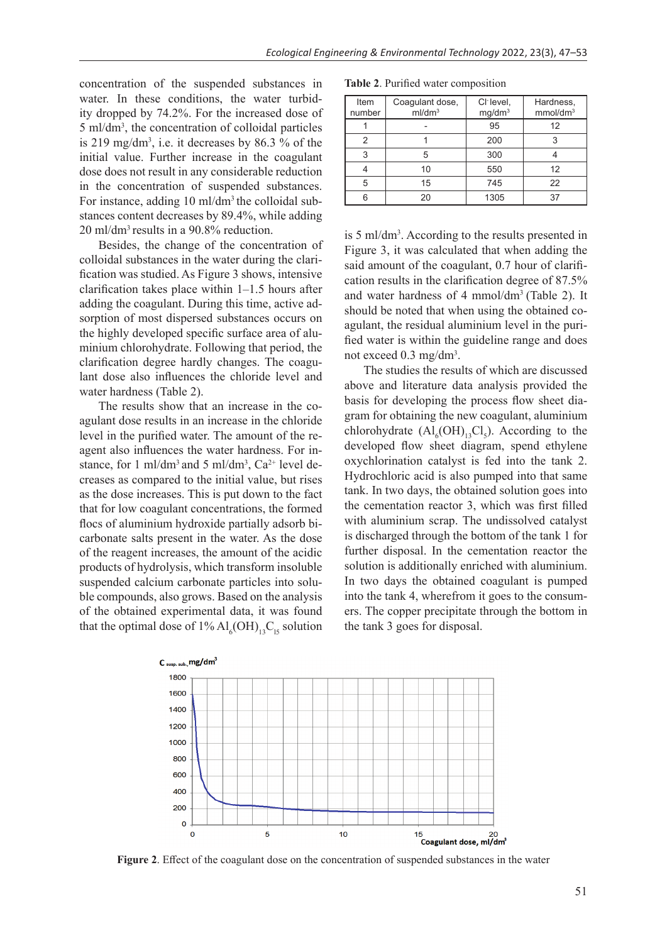concentration of the suspended substances in water. In these conditions, the water turbidity dropped by 74.2%. For the increased dose of 5 ml/dm3 , the concentration of colloidal particles is 219 mg/dm<sup>3</sup>, i.e. it decreases by 86.3 % of the initial value. Further increase in the coagulant dose does not result in any considerable reduction in the concentration of suspended substances. For instance, adding 10 ml/dm3 the colloidal substances content decreases by 89.4%, while adding 20 ml/dm3 results in a 90.8% reduction.

Besides, the change of the concentration of colloidal substances in the water during the clarification was studied. As Figure 3 shows, intensive clarification takes place within 1–1.5 hours after adding the coagulant. During this time, active adsorption of most dispersed substances occurs on the highly developed specific surface area of aluminium chlorohydrate. Following that period, the clarification degree hardly changes. The coagulant dose also influences the chloride level and water hardness (Table 2).

The results show that an increase in the coagulant dose results in an increase in the chloride level in the purified water. The amount of the reagent also influences the water hardness. For instance, for 1 ml/dm<sup>3</sup> and 5 ml/dm<sup>3</sup>, Ca<sup>2+</sup> level decreases as compared to the initial value, but rises as the dose increases. This is put down to the fact that for low coagulant concentrations, the formed flocs of aluminium hydroxide partially adsorb bicarbonate salts present in the water. As the dose of the reagent increases, the amount of the acidic products of hydrolysis, which transform insoluble suspended calcium carbonate particles into soluble compounds, also grows. Based on the analysis of the obtained experimental data, it was found that the optimal dose of  $1\%$   $\text{Al}_6\text{(OH)}_{13}\text{C}_{15}$  solution

**Table 2**. Purified water composition Item Coagulant dose, Сl- level,

| Item   | Coagulant dose,    | CI-level,          | Hardness,            |
|--------|--------------------|--------------------|----------------------|
| number | ml/dm <sup>3</sup> | mg/dm <sup>3</sup> | mmol/dm <sup>3</sup> |
|        |                    | 95                 | 12                   |
| 2      |                    | 200                |                      |
| 3      | 5                  | 300                |                      |
|        | 10                 | 550                | 12                   |
| 5      | 15                 | 745                | 22                   |
| հ      | 20                 | 1305               | 37                   |

is 5 ml/dm<sup>3</sup>. According to the results presented in Figure 3, it was calculated that when adding the said amount of the coagulant, 0.7 hour of clarification results in the clarification degree of 87.5% and water hardness of 4 mmol/dm<sup>3</sup> (Table 2). It should be noted that when using the obtained coagulant, the residual aluminium level in the purified water is within the guideline range and does not exceed 0.3 mg/dm<sup>3</sup>.

The studies the results of which are discussed above and literature data analysis provided the basis for developing the process flow sheet diagram for obtaining the new coagulant, aluminium chlorohydrate  $(Al<sub>6</sub>(OH)<sub>13</sub>Cl<sub>5</sub>)$ . According to the developed flow sheet diagram, spend ethylene oxychlorination catalyst is fed into the tank 2. Hydrochloric acid is also pumped into that same tank. In two days, the obtained solution goes into the cementation reactor 3, which was first filled with aluminium scrap. The undissolved catalyst is discharged through the bottom of the tank 1 for further disposal. In the cementation reactor the solution is additionally enriched with aluminium. In two days the obtained coagulant is pumped into the tank 4, wherefrom it goes to the consumers. The copper precipitate through the bottom in the tank 3 goes for disposal.



**Figure 2**. Effect of the coagulant dose on the concentration of suspended substances in the water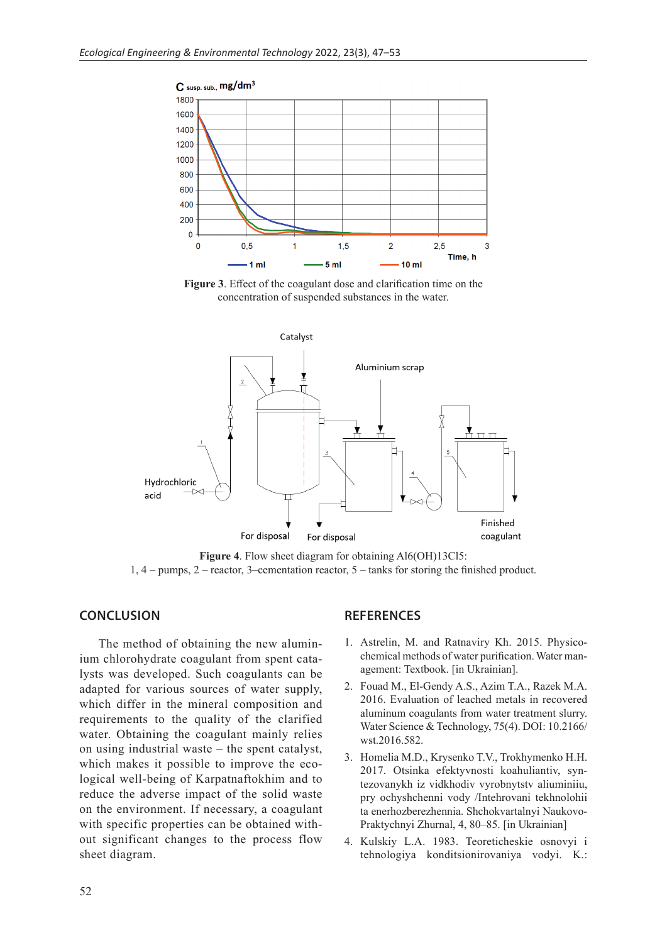

**Figure 3**. Effect of the coagulant dose and clarification time on the concentration of suspended substances in the water.



**Figure 4**. Flow sheet diagram for obtaining Al6(OH)13Cl5:  $1, 4$  – pumps,  $2$  – reactor,  $3$ –cementation reactor,  $5$  – tanks for storing the finished product.

### **CONCLUSION**

The method of obtaining the new aluminium chlorohydrate coagulant from spent catalysts was developed. Such coagulants can be adapted for various sources of water supply, which differ in the mineral composition and requirements to the quality of the clarified water. Obtaining the coagulant mainly relies on using industrial waste – the spent catalyst, which makes it possible to improve the ecological well-being of Karpatnaftokhim and to reduce the adverse impact of the solid waste on the environment. If necessary, a coagulant with specific properties can be obtained without significant changes to the process flow sheet diagram.

## **REFERENCES**

- 1. Astrelin, M. and Ratnaviry Kh. 2015. Physicochemical methods of water purification. Water management: Textbook. [in Ukrainian].
- 2. Fouad M., El-Gendy A.S., Azim T.A., Razek M.A. 2016. Evaluation of leached metals in recovered aluminum coagulants from water treatment slurry. Water Science & Technology, 75(4). DOI: 10.2166/ wst.2016.582.
- 3. Homelia M.D., Krysenko T.V., Trokhymenko H.H. 2017. Otsinka efektyvnosti koahuliantiv, syntezovanykh iz vidkhodiv vyrobnytstv aliuminiiu, pry ochyshchenni vody /Intehrovani tekhnolohii ta enerhozberezhennia. Shchokvartalnyi Naukovo-Praktychnyi Zhurnal, 4, 80–85. [in Ukrainian]
- 4. Kulskiy L.A. 1983. Teoreticheskie osnovyi i tehnologiya konditsionirovaniya vodyi. K.: